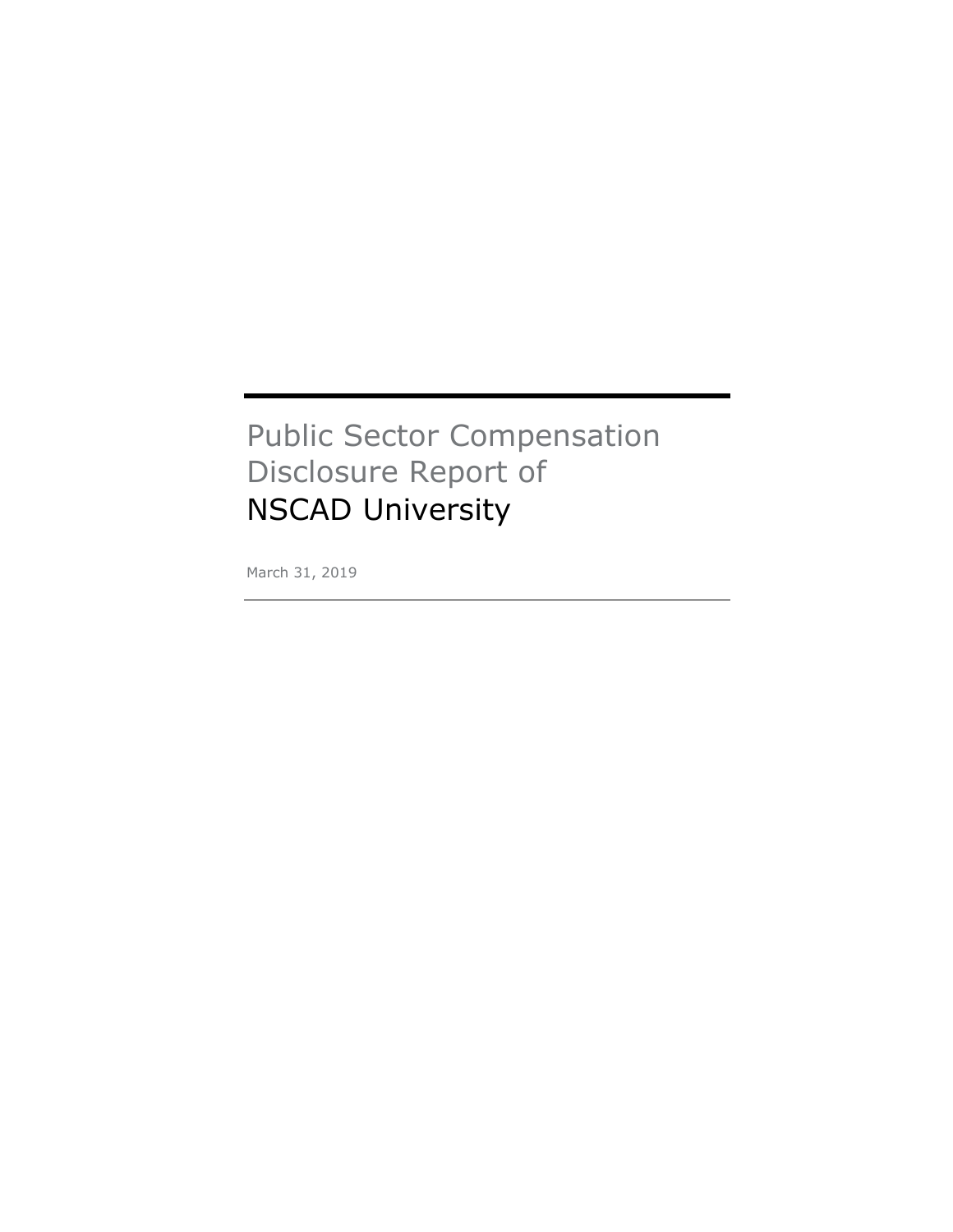# Public Sector Compensation Disclosure Report of NSCAD University

March 31, 2019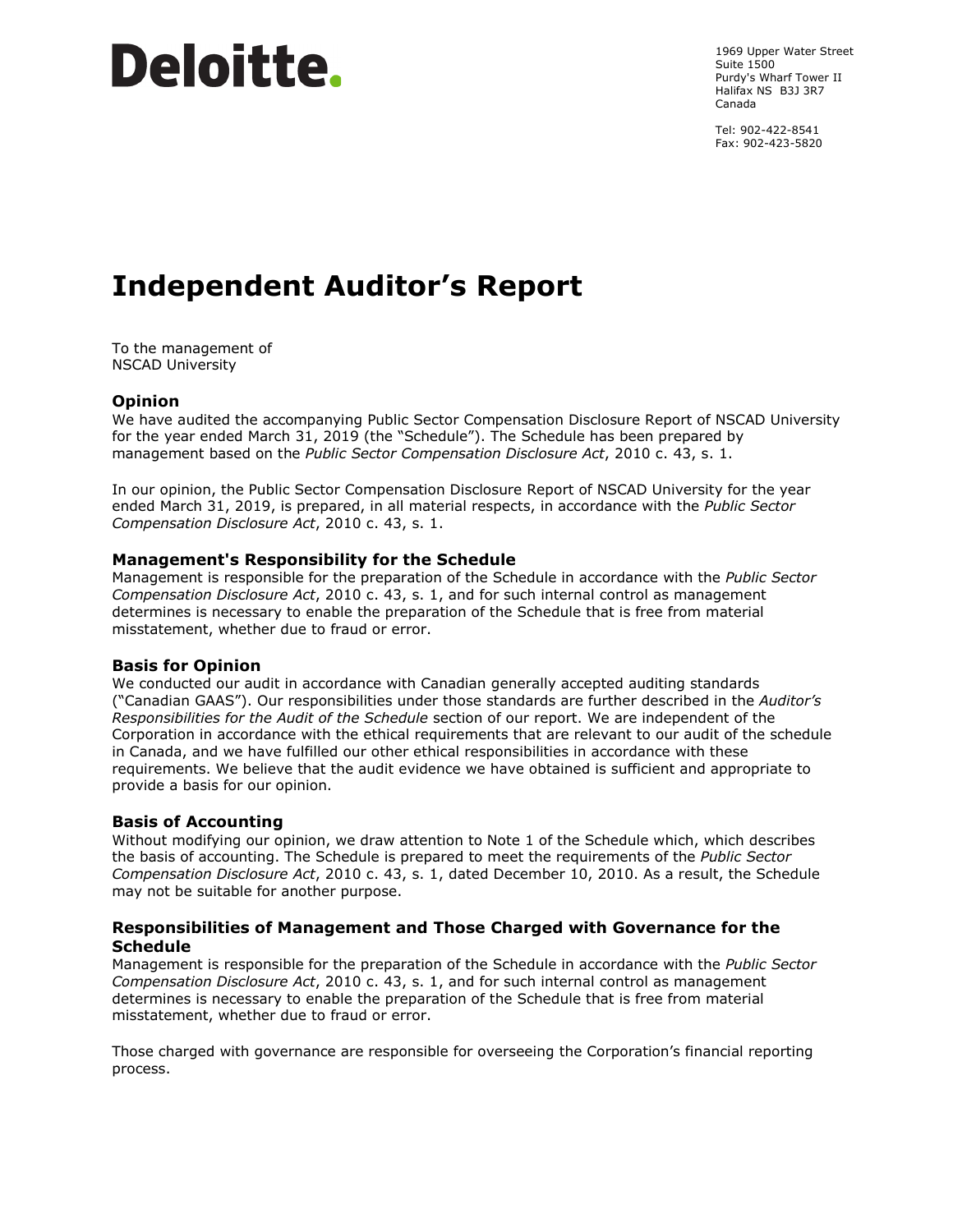# **Deloitte**.

1969 Upper Water Street Suite 1500 Purdy's Wharf Tower II Halifax NS B3J 3R7 Canada

Tel: 902-422-8541 Fax: 902-423-5820

## **Independent Auditor's Report**

To the management of NSCAD University

#### **Opinion**

We have audited the accompanying Public Sector Compensation Disclosure Report of NSCAD University for the year ended March 31, 2019 (the "Schedule"). The Schedule has been prepared by management based on the *Public Sector Compensation Disclosure Act*, 2010 c. 43, s. 1.

In our opinion, the Public Sector Compensation Disclosure Report of NSCAD University for the year ended March 31, 2019, is prepared, in all material respects, in accordance with the *Public Sector Compensation Disclosure Act*, 2010 c. 43, s. 1.

#### **Management's Responsibility for the Schedule**

Management is responsible for the preparation of the Schedule in accordance with the *Public Sector Compensation Disclosure Act*, 2010 c. 43, s. 1, and for such internal control as management determines is necessary to enable the preparation of the Schedule that is free from material misstatement, whether due to fraud or error.

#### **Basis for Opinion**

We conducted our audit in accordance with Canadian generally accepted auditing standards ("Canadian GAAS"). Our responsibilities under those standards are further described in the *Auditor's Responsibilities for the Audit of the Schedule* section of our report. We are independent of the Corporation in accordance with the ethical requirements that are relevant to our audit of the schedule in Canada, and we have fulfilled our other ethical responsibilities in accordance with these requirements. We believe that the audit evidence we have obtained is sufficient and appropriate to provide a basis for our opinion.

#### **Basis of Accounting**

Without modifying our opinion, we draw attention to Note 1 of the Schedule which, which describes the basis of accounting. The Schedule is prepared to meet the requirements of the *Public Sector Compensation Disclosure Act*, 2010 c. 43, s. 1, dated December 10, 2010. As a result, the Schedule may not be suitable for another purpose.

#### **Responsibilities of Management and Those Charged with Governance for the Schedule**

Management is responsible for the preparation of the Schedule in accordance with the *Public Sector Compensation Disclosure Act*, 2010 c. 43, s. 1, and for such internal control as management determines is necessary to enable the preparation of the Schedule that is free from material misstatement, whether due to fraud or error.

Those charged with governance are responsible for overseeing the Corporation's financial reporting process.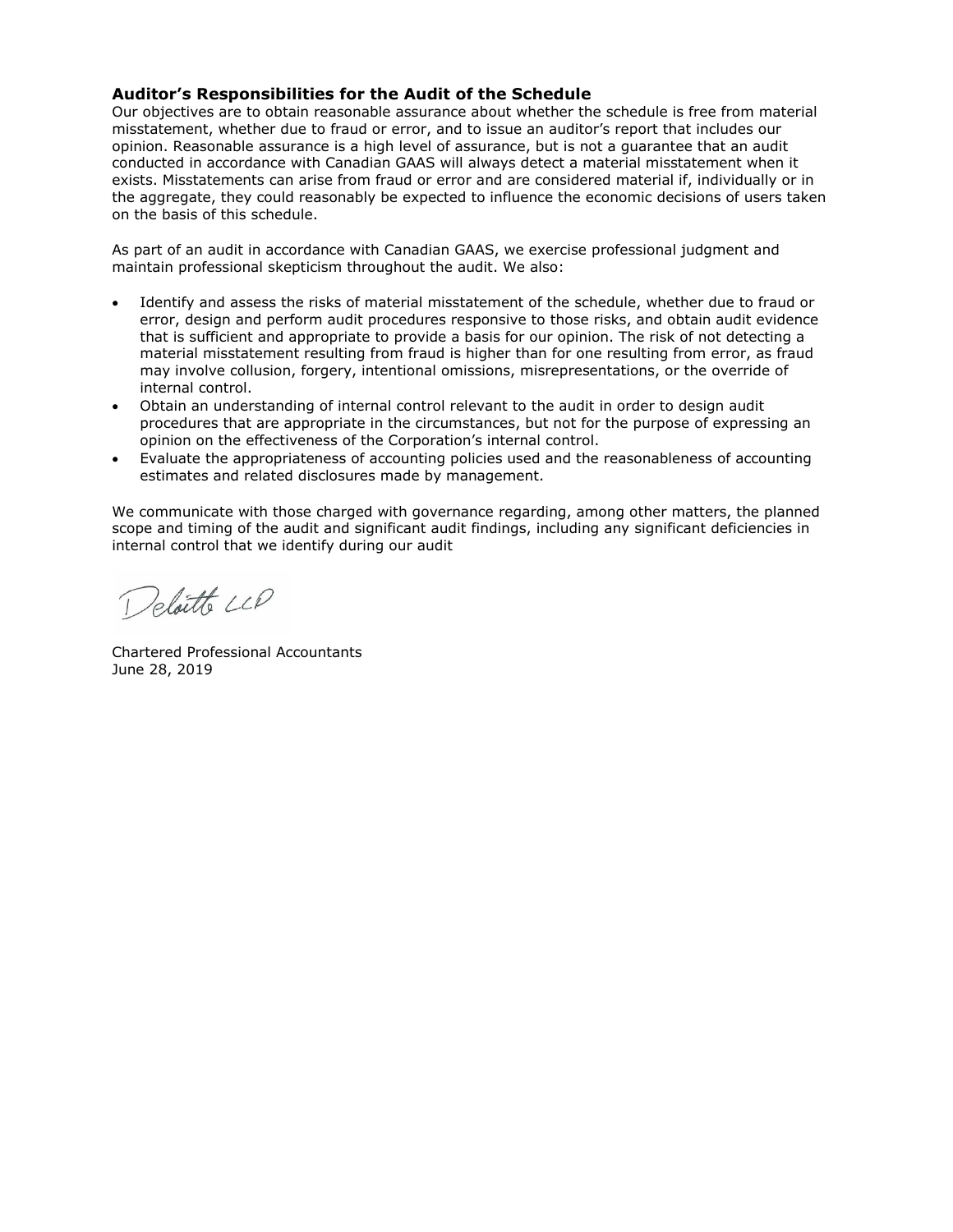### **Auditor's Responsibilities for the Audit of the Schedule**

Our objectives are to obtain reasonable assurance about whether the schedule is free from material misstatement, whether due to fraud or error, and to issue an auditor's report that includes our opinion. Reasonable assurance is a high level of assurance, but is not a guarantee that an audit conducted in accordance with Canadian GAAS will always detect a material misstatement when it exists. Misstatements can arise from fraud or error and are considered material if, individually or in the aggregate, they could reasonably be expected to influence the economic decisions of users taken on the basis of this schedule.

As part of an audit in accordance with Canadian GAAS, we exercise professional judgment and maintain professional skepticism throughout the audit. We also:

- Identify and assess the risks of material misstatement of the schedule, whether due to fraud or error, design and perform audit procedures responsive to those risks, and obtain audit evidence that is sufficient and appropriate to provide a basis for our opinion. The risk of not detecting a material misstatement resulting from fraud is higher than for one resulting from error, as fraud may involve collusion, forgery, intentional omissions, misrepresentations, or the override of internal control.
- Obtain an understanding of internal control relevant to the audit in order to design audit procedures that are appropriate in the circumstances, but not for the purpose of expressing an opinion on the effectiveness of the Corporation's internal control.
- Evaluate the appropriateness of accounting policies used and the reasonableness of accounting estimates and related disclosures made by management.

We communicate with those charged with governance regarding, among other matters, the planned scope and timing of the audit and significant audit findings, including any significant deficiencies in internal control that we identify during our audit

Delaitte LCD

Chartered Professional Accountants June 28, 2019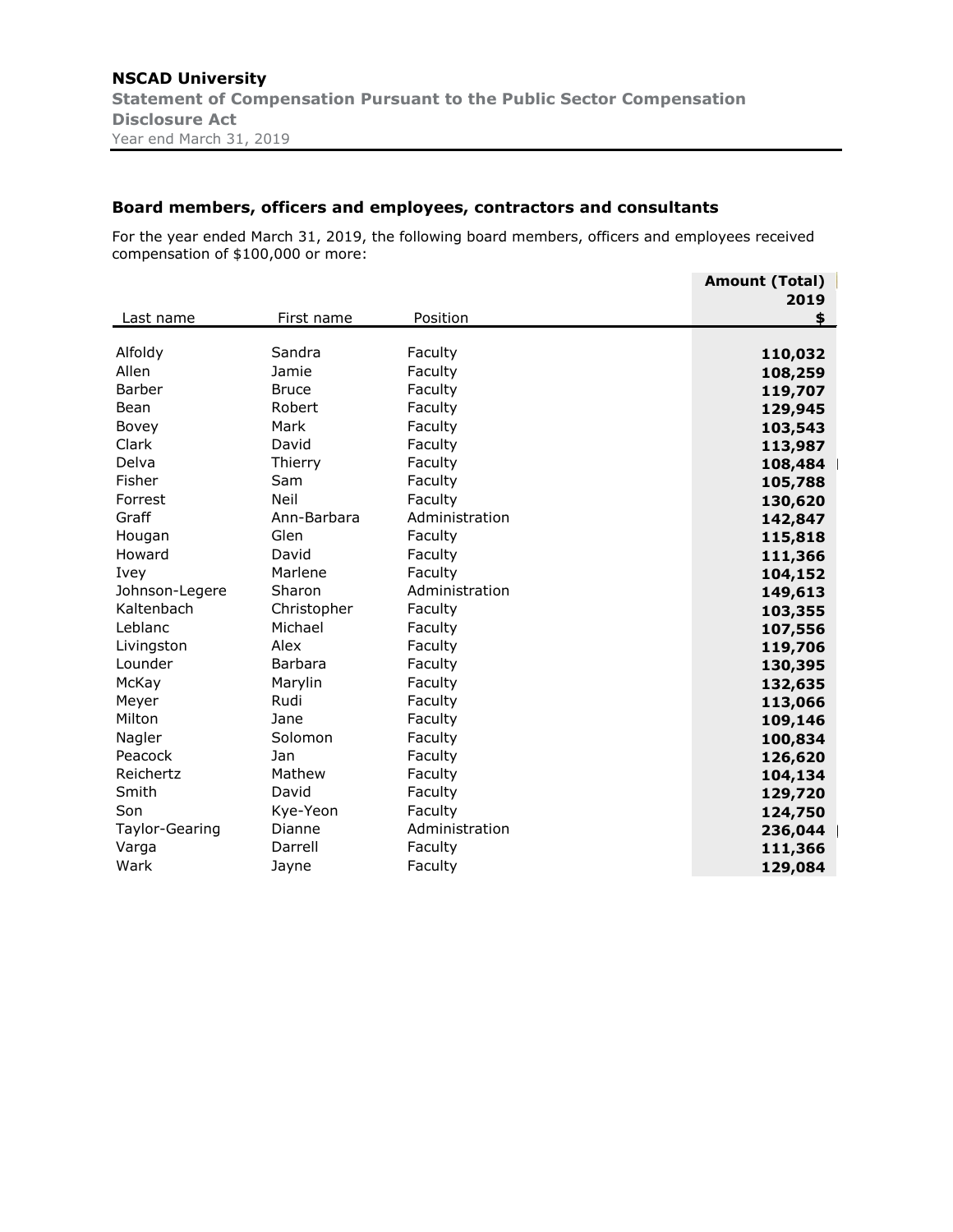## **Board members, officers and employees, contractors and consultants**

For the year ended March 31, 2019, the following board members, officers and employees received compensation of \$100,000 or more:

|                |              |                | <b>Amount (Total)</b> |
|----------------|--------------|----------------|-----------------------|
|                |              |                | 2019                  |
| Last name      | First name   | Position       | \$                    |
|                |              |                |                       |
| Alfoldy        | Sandra       | Faculty        | 110,032               |
| Allen          | Jamie        | Faculty        | 108,259               |
| Barber         | <b>Bruce</b> | Faculty        | 119,707               |
| Bean           | Robert       | Faculty        | 129,945               |
| Bovey          | Mark         | Faculty        | 103,543               |
| Clark          | David        | Faculty        | 113,987               |
| Delva          | Thierry      | Faculty        | 108,484               |
| Fisher         | Sam          | Faculty        | 105,788               |
| Forrest        | Neil         | Faculty        | 130,620               |
| Graff          | Ann-Barbara  | Administration | 142,847               |
| Hougan         | Glen         | Faculty        | 115,818               |
| Howard         | David        | Faculty        | 111,366               |
| Ivey           | Marlene      | Faculty        | 104,152               |
| Johnson-Legere | Sharon       | Administration | 149,613               |
| Kaltenbach     | Christopher  | Faculty        | 103,355               |
| Leblanc        | Michael      | Faculty        | 107,556               |
| Livingston     | Alex         | Faculty        | 119,706               |
| Lounder        | Barbara      | Faculty        | 130,395               |
| McKay          | Marylin      | Faculty        | 132,635               |
| Meyer          | Rudi         | Faculty        | 113,066               |
| Milton         | Jane         | Faculty        | 109,146               |
| Nagler         | Solomon      | Faculty        | 100,834               |
| Peacock        | Jan          | Faculty        | 126,620               |
| Reichertz      | Mathew       | Faculty        | 104,134               |
| Smith          | David        | Faculty        | 129,720               |
| Son            | Kye-Yeon     | Faculty        | 124,750               |
| Taylor-Gearing | Dianne       | Administration | 236,044               |
| Varga          | Darrell      | Faculty        | 111,366               |
| Wark           | Jayne        | Faculty        | 129,084               |